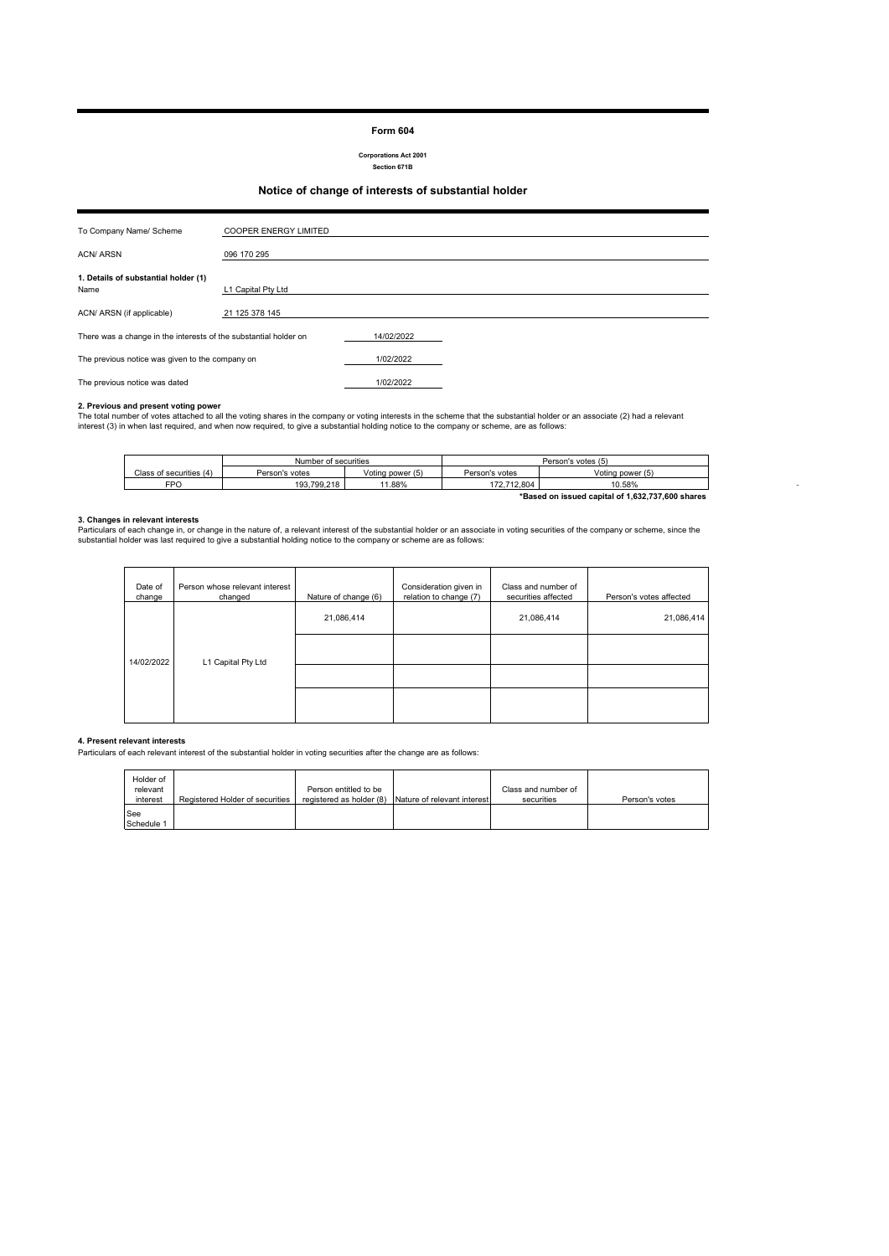#### **Form 604**

**Corporations Act 2001 Section 671B**

## **Notice of change of interests of substantial holder**

| To Company Name/ Scheme                                          | <b>COOPER ENERGY LIMITED</b> |            |  |
|------------------------------------------------------------------|------------------------------|------------|--|
| <b>ACN/ ARSN</b>                                                 | 096 170 295                  |            |  |
| 1. Details of substantial holder (1)<br>Name                     | L1 Capital Pty Ltd           |            |  |
| ACN/ ARSN (if applicable)                                        | 21 125 378 145               |            |  |
| There was a change in the interests of the substantial holder on |                              | 14/02/2022 |  |
| The previous notice was given to the company on                  |                              | 1/02/2022  |  |
| The previous notice was dated                                    |                              | 1/02/2022  |  |

**2. Previous and present voting power**<br>The total number of votes attached to all the voting shares in the company or voting interests in the scheme that the substantial holder or an associate (2) had a relevant<br>interest (3

|                                                  | Number of securities |                  | Person's votes (5) |                  |
|--------------------------------------------------|----------------------|------------------|--------------------|------------------|
| Class of securities (4)                          | Person's votes       | Voting power (5) | Person's votes     | Voting power (5) |
| FPO                                              | 193.799.218          | 11.88%           | 172.712.804        | 10.58%           |
| *Based on issued capital of 1.632.737.600 shares |                      |                  |                    |                  |

- 100 minutes

**3. Changes in relevant interests**<br>Particulars of each change in, or change in the nature of, a relevant interest of the substantial holder or an associate in voting securities of the company or scheme, since the<br>substanti

| Date of<br>change | Person whose relevant interest<br>changed | Nature of change (6) | Consideration given in<br>relation to change (7) | Class and number of<br>securities affected | Person's votes affected |
|-------------------|-------------------------------------------|----------------------|--------------------------------------------------|--------------------------------------------|-------------------------|
|                   |                                           | 21,086,414           |                                                  | 21,086,414                                 | 21,086,414              |
| 14/02/2022        | L1 Capital Pty Ltd                        |                      |                                                  |                                            |                         |
|                   |                                           |                      |                                                  |                                            |                         |
|                   |                                           |                      |                                                  |                                            |                         |

### **4. Present relevant interests**

Particulars of each relevant interest of the substantial holder in voting securities after the change are as follows:

| Holder of<br>relevant<br>interest | Registered Holder of securities | Person entitled to be | registered as holder (8) Nature of relevant interest | Class and number of<br>securities | Person's votes |
|-----------------------------------|---------------------------------|-----------------------|------------------------------------------------------|-----------------------------------|----------------|
| <b>See</b><br>Schedule 1          |                                 |                       |                                                      |                                   |                |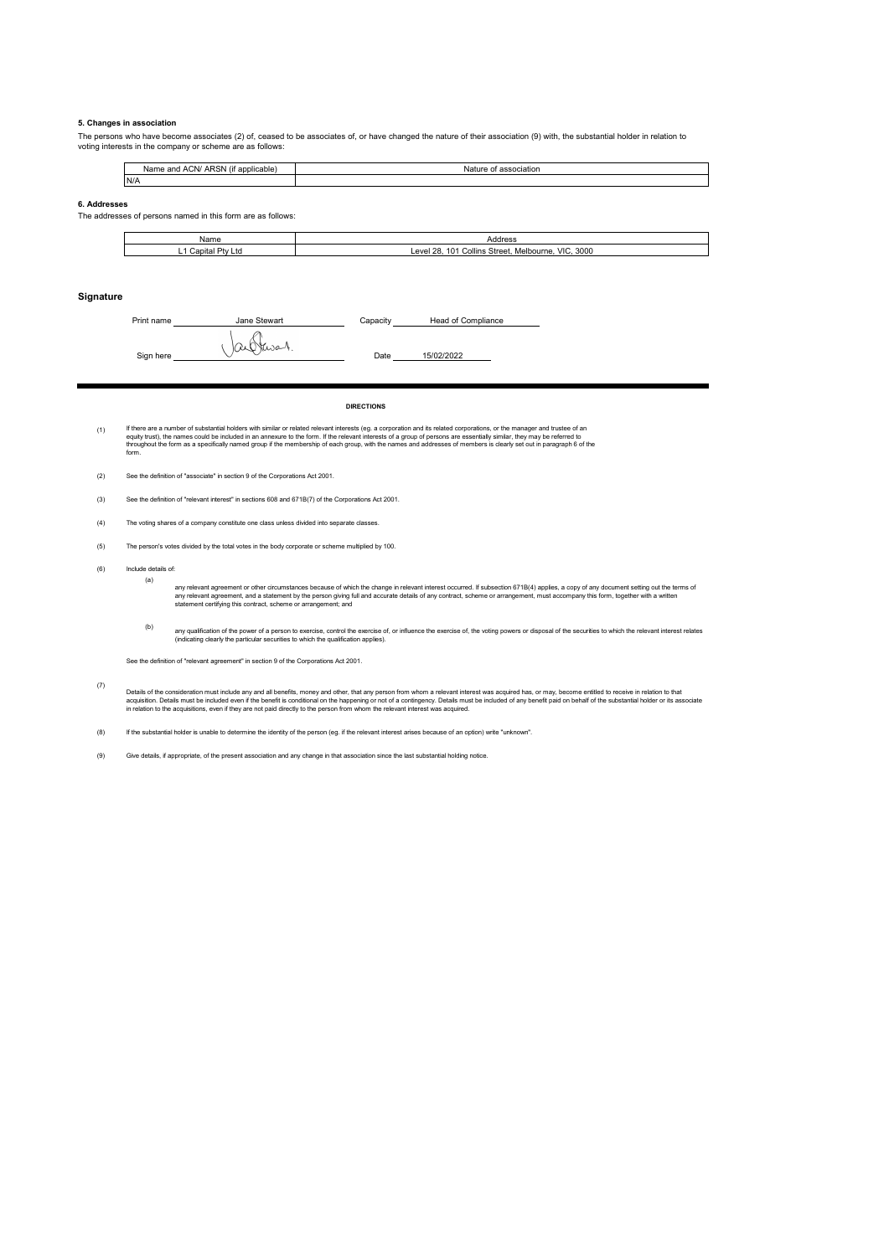#### **5. Changes in association**

The persons who have become associates (2) of, ceased to be associates of, or have changed the nature of their association (9) with, the substantial holder in relation to voting interests in the company or scheme are as follows:

| $\cdots$<br><b>ARSN</b><br>and ACN/<br>f applicable<br>Name<br>(It | association<br>Natur<br>. |
|--------------------------------------------------------------------|---------------------------|
| N/A                                                                |                           |

#### **6. Addresses**

The addresses of persons named in this form are as follows:

| Name                             | Address                                                                      |
|----------------------------------|------------------------------------------------------------------------------|
| Capita<br>≛ Dhv ⊾.<br>∟td<br>- 1 | 3000<br><b>VIC</b><br>Collins Street.<br>28.<br>101<br>∟evel 1<br>Melbourne. |

#### **Signature**

Print name **Capacity Capacity Capacity**  $Sign here$   $\bigcup \alpha \bigcup \{x, s_0, h_1, \ldots, h_s\}$  Date 15/02/2022 Head of Compliance

**DIRECTIONS**

(1) lf there are a number of substantial holders with similar or related relevant interests (eg. a corporation and is relevant may be present and the set of an experiment of the set of an experiment of the set of an experiment

(2) See the definition of "associate" in section 9 of the Corporations Act 2001.

(3) See the definition of "relevant interest" in sections 608 and 671B(7) of the Corporations Act 2001.

- (4) The voting shares of a company constitute one class unless divided into separate classes.
- (5) The person's votes divided by the total votes in the body corporate or scheme multiplied by 100.
- (6) Include details of:
	- (a)

any relevant agreement or other circumstances because of which the change in relevant interest occurred. If subsection 671B(4) applies, a copy of any document setting out the terms of<br>any relevant agreement, and a statemen

(b) any qualification of the power of a person to exercise, control the seercise of, the voling powers or disposal of the securities to which the relevant interest relates<br>(indicating clearly the particular securities to which

See the definition of "relevant agreement" in section 9 of the Corporations Act 2001.

(7) Detais of the consideration must include any and all benefits, money and other, that any person from whom a relevant interest was acquired has, or may, become entitled to receive in relation to that<br>acquistion. Details mus

(8) If the substantial holder is unable to determine the identity of the person (eg. if the relevant interest arises because of an option) write "unknown".

(9) Give details, if appropriate, of the present association and any change in that association since the last substantial holding notice.